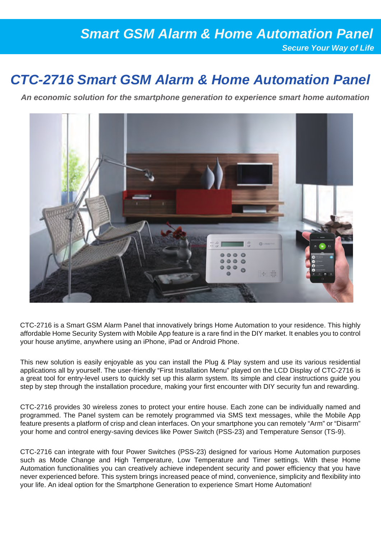### *Smart GSM Alarm & Home Automation Panel Secure Your Way of Life*

## *CTC-2716 Smart GSM Alarm & Home Automation Panel*

*An economic solution for the smartphone generation to experience smart home automation*



CTC-2716 is a Smart GSM Alarm Panel that innovatively brings Home Automation to your residence. This highly affordable Home Security System with Mobile App feature is a rare find in the DIY market. It enables you to control your house anytime, anywhere using an iPhone, iPad or Android Phone.

This new solution is easily enjoyable as you can install the Plug & Play system and use its various residential applications all by yourself. The user-friendly "First Installation Menu" played on the LCD Display of CTC-2716 is a great tool for entry-level users to quickly set up this alarm system. Its simple and clear instructions guide you step by step through the installation procedure, making your first encounter with DIY security fun and rewarding.

CTC-2716 provides 30 wireless zones to protect your entire house. Each zone can be individually named and programmed. The Panel system can be remotely programmed via SMS text messages, while the Mobile App feature presents a platform of crisp and clean interfaces. On your smartphone you can remotely "Arm" or "Disarm" your home and control energy-saving devices like Power Switch (PSS-23) and Temperature Sensor (TS-9).

CTC-2716 can integrate with four Power Switches (PSS-23) designed for various Home Automation purposes such as Mode Change and High Temperature, Low Temperature and Timer settings. With these Home Automation functionalities you can creatively achieve independent security and power efficiency that you have never experienced before. This system brings increased peace of mind, convenience, simplicity and flexibility into your life. An ideal option for the Smartphone Generation to experience Smart Home Automation!